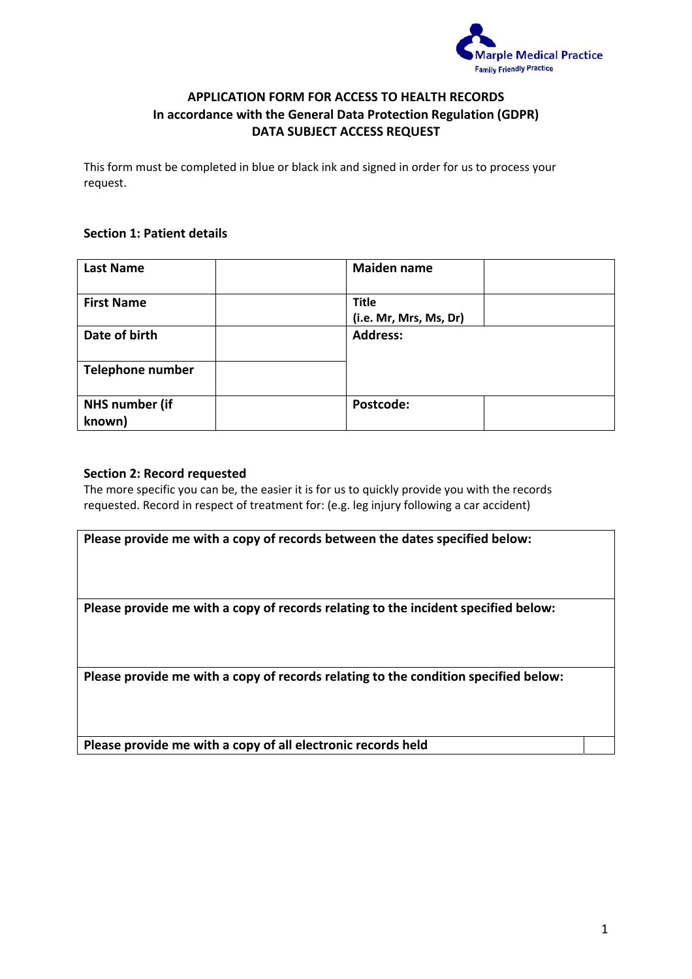

# **APPLICATION FORM FOR ACCESS TO HEALTH RECORDS In accordance with the General Data Protection Regulation (GDPR) DATA SUBJECT ACCESS REQUEST**

This form must be completed in blue or black ink and signed in order for us to process your request.

## **Section 1: Patient details**

| <b>Last Name</b>                | <b>Maiden name</b>     |
|---------------------------------|------------------------|
| <b>First Name</b>               | <b>Title</b>           |
|                                 | (i.e. Mr, Mrs, Ms, Dr) |
| Date of birth                   | <b>Address:</b>        |
| <b>Telephone number</b>         |                        |
| <b>NHS number (if</b><br>known) | Postcode:              |

#### **Section 2: Record requested**

The more specific you can be, the easier it is for us to quickly provide you with the records requested. Record in respect of treatment for: (e.g. leg injury following a car accident)

**Please provide me with a copy of records between the dates specified below:**

**Please provide me with a copy of records relating to the incident specified below:**

**Please provide me with a copy of records relating to the condition specified below:**

**Please provide me with a copy of all electronic records held**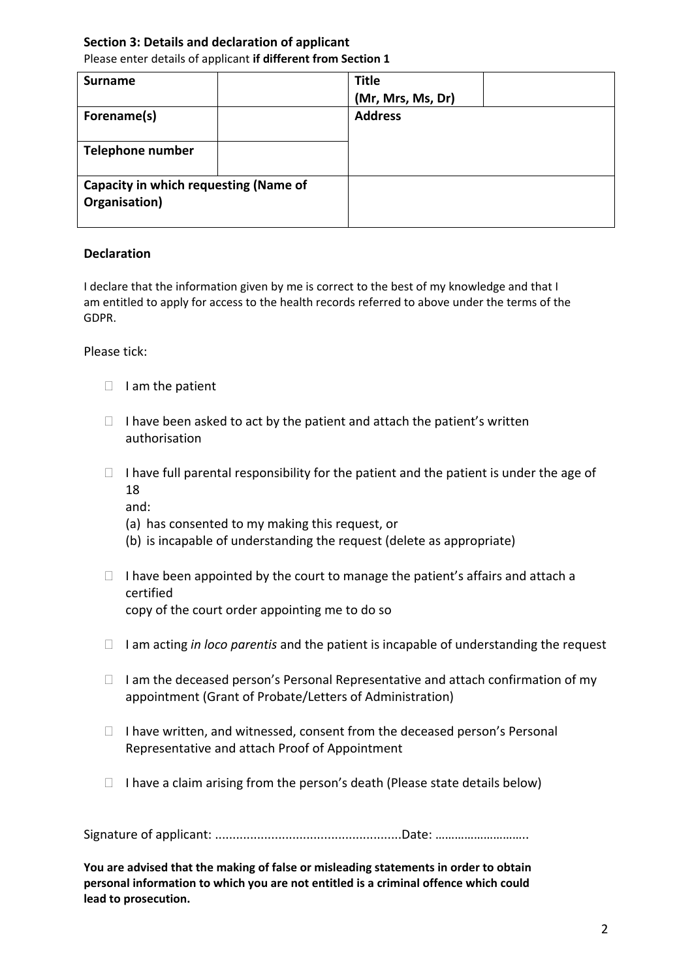### **Section 3: Details and declaration of applicant** Please enter details of applicant **if different from Section 1**

| <b>Surname</b>                                         | <b>Title</b><br>(Mr, Mrs, Ms, Dr) |
|--------------------------------------------------------|-----------------------------------|
| Forename(s)                                            | <b>Address</b>                    |
| <b>Telephone number</b>                                |                                   |
| Capacity in which requesting (Name of<br>Organisation) |                                   |

# **Declaration**

I declare that the information given by me is correct to the best of my knowledge and that I am entitled to apply for access to the health records referred to above under the terms of the GDPR.

Please tick:

- $\Box$  I am the patient
- $\Box$  I have been asked to act by the patient and attach the patient's written authorisation
- $\Box$  I have full parental responsibility for the patient and the patient is under the age of 18

and:

- (a) has consented to my making this request, or
- (b) is incapable of understanding the request (delete as appropriate)
- $\Box$  I have been appointed by the court to manage the patient's affairs and attach a certified copy of the court order appointing me to do so
- I am acting *in loco parentis* and the patient is incapable of understanding the request
- $\Box$  I am the deceased person's Personal Representative and attach confirmation of my appointment (Grant of Probate/Letters of Administration)
- $\Box$  I have written, and witnessed, consent from the deceased person's Personal Representative and attach Proof of Appointment
- $\Box$  I have a claim arising from the person's death (Please state details below)

Signature of applicant: .....................................................Date: ………………………..

**You are advised that the making of false or misleading statements in order to obtain personal information to which you are not entitled is a criminal offence which could lead to prosecution.**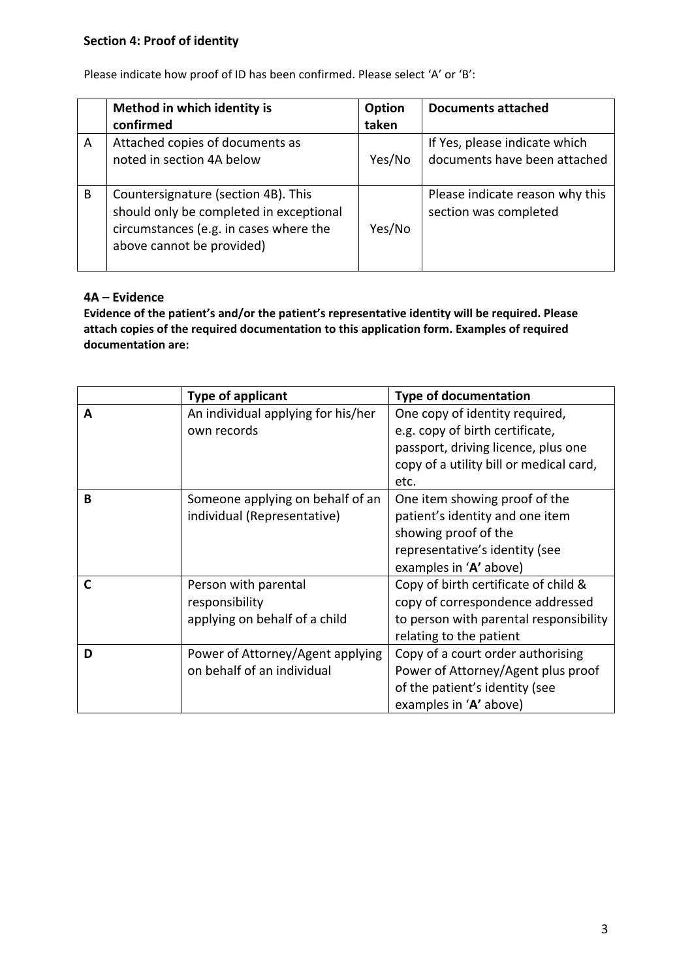|   | Method in which identity is                                                                                                                           | Option | Documents attached                                       |
|---|-------------------------------------------------------------------------------------------------------------------------------------------------------|--------|----------------------------------------------------------|
|   | confirmed                                                                                                                                             | taken  |                                                          |
| A | Attached copies of documents as                                                                                                                       |        | If Yes, please indicate which                            |
|   | noted in section 4A below                                                                                                                             | Yes/No | documents have been attached                             |
| B | Countersignature (section 4B). This<br>should only be completed in exceptional<br>circumstances (e.g. in cases where the<br>above cannot be provided) | Yes/No | Please indicate reason why this<br>section was completed |

Please indicate how proof of ID has been confirmed. Please select 'A' or 'B':

## **4A – Evidence**

**Evidence of the patient's and/or the patient's representative identity will be required. Please attach copies of the required documentation to this application form. Examples of required documentation are:**

|   | <b>Type of applicant</b>           | <b>Type of documentation</b>            |
|---|------------------------------------|-----------------------------------------|
| A | An individual applying for his/her | One copy of identity required,          |
|   | own records                        | e.g. copy of birth certificate,         |
|   |                                    | passport, driving licence, plus one     |
|   |                                    | copy of a utility bill or medical card, |
|   |                                    | etc.                                    |
| B | Someone applying on behalf of an   | One item showing proof of the           |
|   | individual (Representative)        | patient's identity and one item         |
|   |                                    | showing proof of the                    |
|   |                                    | representative's identity (see          |
|   |                                    | examples in 'A' above)                  |
| C | Person with parental               | Copy of birth certificate of child &    |
|   | responsibility                     | copy of correspondence addressed        |
|   | applying on behalf of a child      | to person with parental responsibility  |
|   |                                    | relating to the patient                 |
| D | Power of Attorney/Agent applying   | Copy of a court order authorising       |
|   | on behalf of an individual         | Power of Attorney/Agent plus proof      |
|   |                                    | of the patient's identity (see          |
|   |                                    | examples in 'A' above)                  |